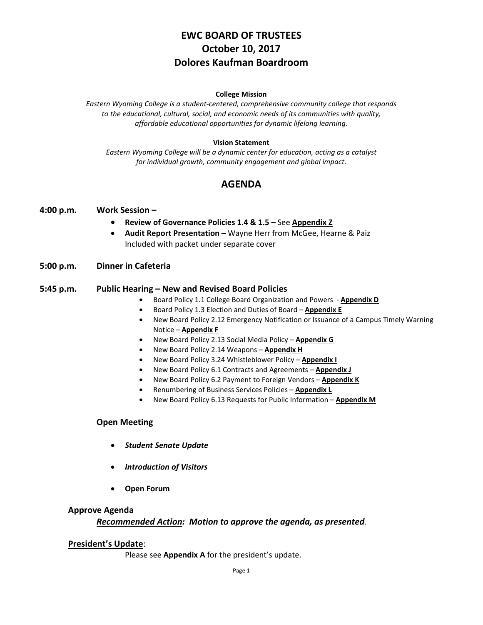# **EWC BOARD OF TRUSTEES October 10, 2017 Dolores Kaufman Boardroom**

#### **College Mission**

*Eastern Wyoming College is a student-centered, comprehensive community college that responds to the educational, cultural, social, and economic needs of its communities with quality, affordable educational opportunities for dynamic lifelong learning.*

#### **Vision Statement**

*Eastern Wyoming College will be a dynamic center for education, acting as a catalyst for individual growth, community engagement and global impact.*

## **AGENDA**

### **4:00 p.m. Work Session –**

- **Review of Governance Policies 1.4 & 1.5 –** See **Appendix Z**
- **Audit Report Presentation –** Wayne Herr from McGee, Hearne & Paiz Included with packet under separate cover

### **5:00 p.m. Dinner in Cafeteria**

### **5:45 p.m. Public Hearing – New and Revised Board Policies**

- Board Policy 1.1 College Board Organization and Powers **Appendix D**
- Board Policy 1.3 Election and Duties of Board **Appendix E**
- New Board Policy 2.12 Emergency Notification or Issuance of a Campus Timely Warning Notice – **Appendix F**
- New Board Policy 2.13 Social Media Policy **Appendix G**
- New Board Policy 2.14 Weapons **Appendix H**
- New Board Policy 3.24 Whistleblower Policy **Appendix I**
- New Board Policy 6.1 Contracts and Agreements **Appendix J**
- New Board Policy 6.2 Payment to Foreign Vendors **Appendix K**
- Renumbering of Business Services Policies **Appendix L**
- New Board Policy 6.13 Requests for Public Information **Appendix M**

### **Open Meeting**

- *Student Senate Update*
- *Introduction of Visitors*
- **Open Forum**

#### **Approve Agenda**

### *Recommended Action: Motion to approve the agenda, as presented.*

#### **President's Update**:

Please see **Appendix A** for the president's update.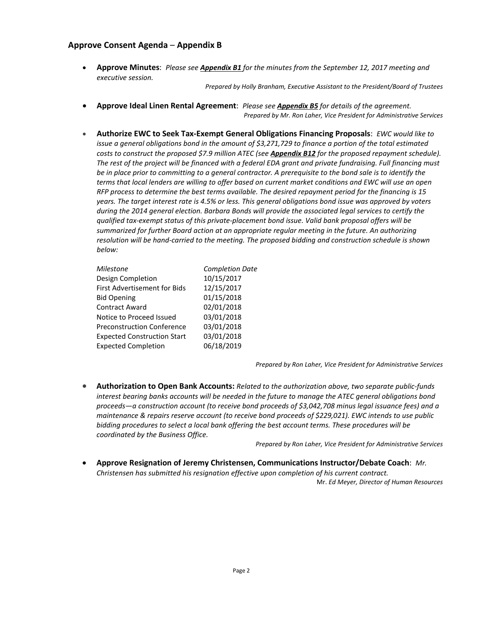### **Approve Consent Agenda** – **Appendix B**

• **Approve Minutes**: *Please see Appendix B1 for the minutes from the September 12, 2017 meeting and executive session.*

*Prepared by Holly Branham, Executive Assistant to the President/Board of Trustees*

- **Approve Ideal Linen Rental Agreement**: *Please see Appendix B5 for details of the agreement. Prepared by Mr. Ron Laher, Vice President for Administrative Services*
- **Authorize EWC to Seek Tax-Exempt General Obligations Financing Proposals**: *EWC would like to issue a general obligations bond in the amount of \$3,271,729 to finance a portion of the total estimated costs to construct the proposed \$7.9 million ATEC (see Appendix B12 for the proposed repayment schedule). The rest of the project will be financed with a federal EDA grant and private fundraising. Full financing must be in place prior to committing to a general contractor. A prerequisite to the bond sale is to identify the terms that local lenders are willing to offer based on current market conditions and EWC will use an open RFP process to determine the best terms available. The desired repayment period for the financing is 15 years. The target interest rate is 4.5% or less. This general obligations bond issue was approved by voters during the 2014 general election. Barbara Bonds will provide the associated legal services to certify the qualified tax-exempt status of this private-placement bond issue. Valid bank proposal offers will be summarized for further Board action at an appropriate regular meeting in the future. An authorizing resolution will be hand-carried to the meeting. The proposed bidding and construction schedule is shown below:*

| Milestone                          | <b>Completion Date</b> |
|------------------------------------|------------------------|
| Design Completion                  | 10/15/2017             |
| First Advertisement for Bids       | 12/15/2017             |
| <b>Bid Opening</b>                 | 01/15/2018             |
| <b>Contract Award</b>              | 02/01/2018             |
| Notice to Proceed Issued           | 03/01/2018             |
| <b>Preconstruction Conference</b>  | 03/01/2018             |
| <b>Expected Construction Start</b> | 03/01/2018             |
| <b>Expected Completion</b>         | 06/18/2019             |
|                                    |                        |

*Prepared by Ron Laher, Vice President for Administrative Services*

• **Authorization to Open Bank Accounts:** *Related to the authorization above, two separate public-funds interest bearing banks accounts will be needed in the future to manage the ATEC general obligations bond proceeds—a construction account (to receive bond proceeds of \$3,042,708 minus legal issuance fees) and a maintenance & repairs reserve account (to receive bond proceeds of \$229,021). EWC intends to use public bidding procedures to select a local bank offering the best account terms. These procedures will be coordinated by the Business Office.*

*Prepared by Ron Laher, Vice President for Administrative Services*

• **Approve Resignation of Jeremy Christensen, Communications Instructor/Debate Coach**: *Mr. Christensen has submitted his resignation effective upon completion of his current contract.*

Mr. *Ed Meyer, Director of Human Resources*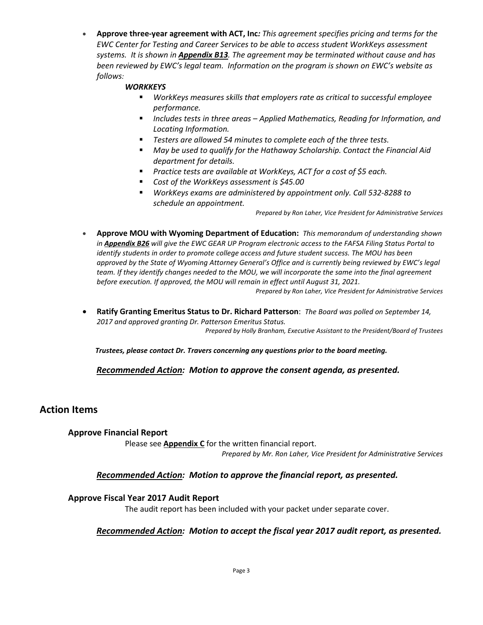• **Approve three-year agreement with ACT, Inc***: This agreement specifies pricing and terms for the EWC Center for Testing and Career Services to be able to access student WorkKeys assessment systems. It is shown in Appendix B13. The agreement may be terminated without cause and has been reviewed by EWC's legal team. Information on the program is shown on EWC's website as follows:*

## *WORKKEYS*

- *WorkKeys measures skills that employers rate as critical to successful employee performance.*
- *Includes tests in three areas – Applied Mathematics, Reading for Information, and Locating Information.*
- *Testers are allowed 54 minutes to complete each of the three tests.*
- *May be used to qualify for the Hathaway Scholarship. Contact the Financial Aid department for details.*
- *Practice tests are available at [WorkKeys,](http://www.act.org/workkeys/practice/index.html) ACT for a cost of \$5 each.*
- *Cost of the WorkKeys assessment is \$45.00*
- *WorkKeys exams are administered by appointment only. Call 532-8288 to schedule an appointment.*

*Prepared by Ron Laher, Vice President for Administrative Services*

• **Approve MOU with Wyoming Department of Education:** *This memorandum of understanding shown in Appendix B26 will give the EWC GEAR UP Program electronic access to the FAFSA Filing Status Portal to identify students in order to promote college access and future student success. The MOU has been approved by the State of Wyoming Attorney General's Office and is currently being reviewed by EWC's legal team. If they identify changes needed to the MOU, we will incorporate the same into the final agreement before execution. If approved, the MOU will remain in effect until August 31, 2021.*

*Prepared by Ron Laher, Vice President for Administrative Services*

• **Ratify Granting Emeritus Status to Dr. Richard Patterson**: *The Board was polled on September 14, 2017 and approved granting Dr. Patterson Emeritus Status.*

*Prepared by Holly Branham, Executive Assistant to the President/Board of Trustees*

*Trustees, please contact Dr. Travers concerning any questions prior to the board meeting.*

*Recommended Action: Motion to approve the consent agenda, as presented.*

## **Action Items**

### **Approve Financial Report**

Please see **Appendix C** for the written financial report. *Prepared by Mr. Ron Laher, Vice President for Administrative Services*

## *Recommended Action: Motion to approve the financial report, as presented.*

### **Approve Fiscal Year 2017 Audit Report**

The audit report has been included with your packet under separate cover.

## *Recommended Action: Motion to accept the fiscal year 2017 audit report, as presented.*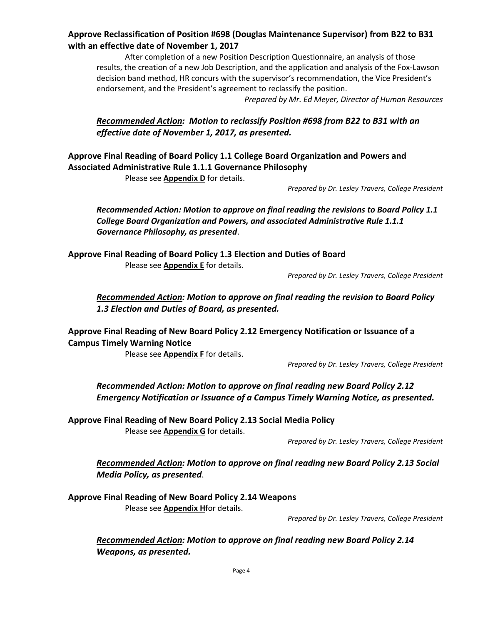## **Approve Reclassification of Position #698 (Douglas Maintenance Supervisor) from B22 to B31 with an effective date of November 1, 2017**

After completion of a new Position Description Questionnaire, an analysis of those results, the creation of a new Job Description, and the application and analysis of the Fox-Lawson decision band method, HR concurs with the supervisor's recommendation, the Vice President's endorsement, and the President's agreement to reclassify the position.

*Prepared by Mr. Ed Meyer, Director of Human Resources*

## *Recommended Action: Motion to reclassify Position #698 from B22 to B31 with an effective date of November 1, 2017, as presented.*

**Approve Final Reading of Board Policy 1.1 College Board Organization and Powers and Associated Administrative Rule 1.1.1 Governance Philosophy** 

Please see **Appendix D** for details.

*Prepared by Dr. Lesley Travers, College President* 

*Recommended Action: Motion to approve on final reading the revisions to Board Policy 1.1 College Board Organization and Powers, and associated Administrative Rule 1.1.1 Governance Philosophy, as presented*.

**Approve Final Reading of Board Policy 1.3 Election and Duties of Board**  Please see **Appendix E** for details.

*Prepared by Dr. Lesley Travers, College President* 

*Recommended Action: Motion to approve on final reading the revision to Board Policy 1.3 Election and Duties of Board, as presented.* 

**Approve Final Reading of New Board Policy 2.12 Emergency Notification or Issuance of a Campus Timely Warning Notice**

Please see **Appendix F** for details.

*Prepared by Dr. Lesley Travers, College President* 

*Recommended Action: Motion to approve on final reading new Board Policy 2.12 Emergency Notification or Issuance of a Campus Timely Warning Notice, as presented.* 

**Approve Final Reading of New Board Policy 2.13 Social Media Policy**  Please see **Appendix G** for details.

*Prepared by Dr. Lesley Travers, College President* 

*Recommended Action: Motion to approve on final reading new Board Policy 2.13 Social Media Policy, as presented*.

**Approve Final Reading of New Board Policy 2.14 Weapons**  Please see **Appendix H**for details.

*Prepared by Dr. Lesley Travers, College President* 

*Recommended Action: Motion to approve on final reading new Board Policy 2.14 Weapons, as presented.*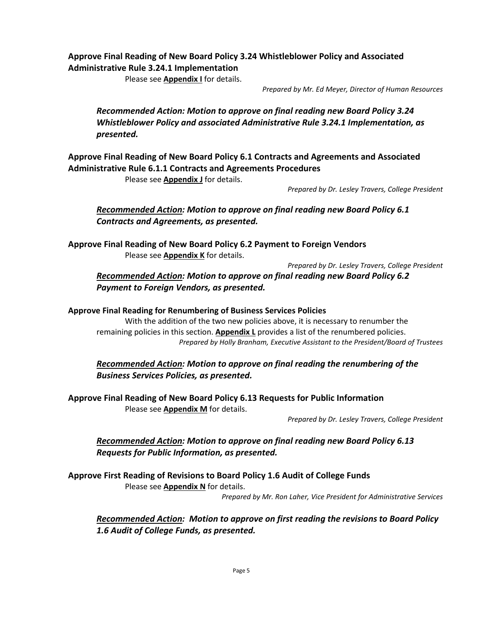## **Approve Final Reading of New Board Policy 3.24 Whistleblower Policy and Associated Administrative Rule 3.24.1 Implementation**

Please see **Appendix I** for details.

*Prepared by Mr. Ed Meyer, Director of Human Resources* 

*Recommended Action: Motion to approve on final reading new Board Policy 3.24 Whistleblower Policy and associated Administrative Rule 3.24.1 Implementation, as presented.* 

**Approve Final Reading of New Board Policy 6.1 Contracts and Agreements and Associated Administrative Rule 6.1.1 Contracts and Agreements Procedures** 

Please see **Appendix J** for details.

*Prepared by Dr. Lesley Travers, College President* 

*Recommended Action: Motion to approve on final reading new Board Policy 6.1 Contracts and Agreements, as presented.* 

**Approve Final Reading of New Board Policy 6.2 Payment to Foreign Vendors**  Please see **Appendix K** for details.

*Prepared by Dr. Lesley Travers, College President* 

*Recommended Action: Motion to approve on final reading new Board Policy 6.2 Payment to Foreign Vendors, as presented.* 

### **Approve Final Reading for Renumbering of Business Services Policies**

With the addition of the two new policies above, it is necessary to renumber the remaining policies in this section. **Appendix L** provides a list of the renumbered policies. *Prepared by Holly Branham, Executive Assistant to the President/Board of Trustees* 

## *Recommended Action: Motion to approve on final reading the renumbering of the Business Services Policies, as presented.*

**Approve Final Reading of New Board Policy 6.13 Requests for Public Information**  Please see **Appendix M** for details.

*Prepared by Dr. Lesley Travers, College President* 

*Recommended Action: Motion to approve on final reading new Board Policy 6.13 Requests for Public Information, as presented.*

**Approve First Reading of Revisions to Board Policy 1.6 Audit of College Funds** Please see **Appendix N** for details.

*Prepared by Mr. Ron Laher, Vice President for Administrative Services*

*Recommended Action: Motion to approve on first reading the revisions to Board Policy 1.6 Audit of College Funds, as presented.*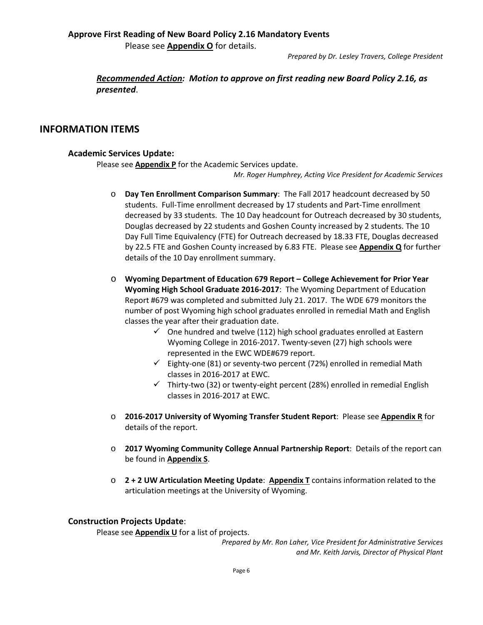Please see **Appendix O** for details.

*Prepared by Dr. Lesley Travers, College President* 

*Recommended Action: Motion to approve on first reading new Board Policy 2.16, as presented*.

## **INFORMATION ITEMS**

### **Academic Services Update:**

Please see **Appendix P** for the Academic Services update.

*Mr. Roger Humphrey, Acting Vice President for Academic Services*

- o **Day Ten Enrollment Comparison Summary**: The Fall 2017 headcount decreased by 50 students. Full-Time enrollment decreased by 17 students and Part-Time enrollment decreased by 33 students. The 10 Day headcount for Outreach decreased by 30 students, Douglas decreased by 22 students and Goshen County increased by 2 students. The 10 Day Full Time Equivalency (FTE) for Outreach decreased by 18.33 FTE, Douglas decreased by 22.5 FTE and Goshen County increased by 6.83 FTE. Please see **Appendix Q** for further details of the 10 Day enrollment summary.
- o **Wyoming Department of Education 679 Report – College Achievement for Prior Year Wyoming High School Graduate 2016-2017**: The Wyoming Department of Education Report #679 was completed and submitted July 21. 2017. The WDE 679 monitors the number of post Wyoming high school graduates enrolled in remedial Math and English classes the year after their graduation date.
	- $\checkmark$  One hundred and twelve (112) high school graduates enrolled at Eastern Wyoming College in 2016-2017. Twenty-seven (27) high schools were represented in the EWC WDE#679 report.
	- $\checkmark$  Eighty-one (81) or seventy-two percent (72%) enrolled in remedial Math classes in 2016-2017 at EWC.
	- $\checkmark$  Thirty-two (32) or twenty-eight percent (28%) enrolled in remedial English classes in 2016-2017 at EWC.
- o **2016-2017 University of Wyoming Transfer Student Report**: Please see **Appendix R** for details of the report.
- o **2017 Wyoming Community College Annual Partnership Report**: Details of the report can be found in **Appendix S**.
- o **2 + 2 UW Articulation Meeting Update**: **Appendix T** contains information related to the articulation meetings at the University of Wyoming.

### **Construction Projects Update**:

Please see **Appendix U** for a list of projects.

*Prepared by Mr. Ron Laher, Vice President for Administrative Services and Mr. Keith Jarvis, Director of Physical Plant*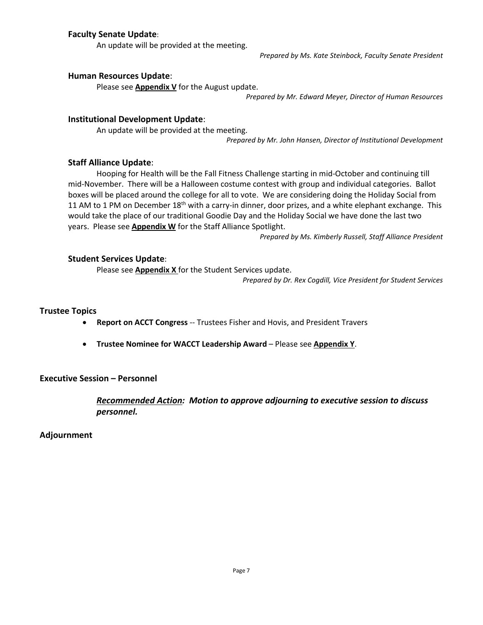## **Faculty Senate Update**:

An update will be provided at the meeting.

*Prepared by Ms. Kate Steinbock, Faculty Senate President*

### **Human Resources Update**:

Please see **Appendix V** for the August update.

*Prepared by Mr. Edward Meyer, Director of Human Resources*

### **Institutional Development Update**:

An update will be provided at the meeting.

*Prepared by Mr. John Hansen, Director of Institutional Development*

### **Staff Alliance Update**:

Hooping for Health will be the Fall Fitness Challenge starting in mid-October and continuing till mid-November. There will be a Halloween costume contest with group and individual categories. Ballot boxes will be placed around the college for all to vote. We are considering doing the Holiday Social from 11 AM to 1 PM on December 18<sup>th</sup> with a carry-in dinner, door prizes, and a white elephant exchange. This would take the place of our traditional Goodie Day and the Holiday Social we have done the last two years. Please see **Appendix W** for the Staff Alliance Spotlight.

*Prepared by Ms. Kimberly Russell, Staff Alliance President*

### **Student Services Update**:

Please see **Appendix X** for the Student Services update.

*Prepared by Dr. Rex Cogdill, Vice President for Student Services*

#### **Trustee Topics**

- **Report on ACCT Congress** -- Trustees Fisher and Hovis, and President Travers
- **Trustee Nominee for WACCT Leadership Award** Please see **Appendix Y**.

**Executive Session – Personnel**

*Recommended Action: Motion to approve adjourning to executive session to discuss personnel.*

**Adjournment**